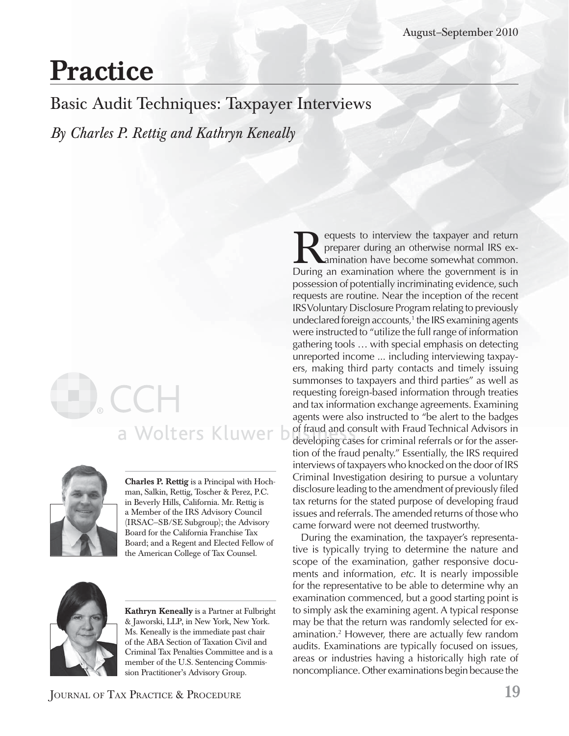# **Practice**

Basic Audit Techniques: Taxpayer Interviews

*By Charles P. Rettig and Kathryn Keneally*

# a Wolters Kluwer b



**Charles P. Rettig** is a Principal with Hochman, Salkin, Rettig, Toscher & Perez, P.C. in Beverly Hills, California. Mr. Rettig is a Member of the IRS Advisory Council (IRSAC—SB/SE Subgroup); the Advisory Board for the California Franchise Tax Board; and a Regent and Elected Fellow of the American College of Tax Counsel.



**Kathryn Keneally** is a Partner at Fulbright & Jaworski, LLP, in New York, New York. Ms. Keneally is the immediate past chair of the ABA Section of Taxation Civil and Criminal Tax Penalties Committee and is a member of the U.S. Sentencing Commission Practitioner's Advisory Group.

equests to interview the taxpayer and return preparer during an otherwise normal IRS examination have become somewhat common. During an examination where the government is in possession of potentially incriminating evidence, such requests are routine. Near the inception of the recent IRS Voluntary Disclosure Program relating to previously undeclared foreign accounts,<sup>1</sup> the IRS examining agents were instructed to "utilize the full range of information gathering tools … with special emphasis on detecting unreported income ... including interviewing taxpayers, making third party contacts and timely issuing summonses to taxpayers and third parties" as well as requesting foreign-based information through treaties and tax information exchange agreements. Examining agents were also instructed to "be alert to the badges of fraud and consult with Fraud Technical Advisors in developing cases for criminal referrals or for the assertion of the fraud penalty." Essentially, the IRS required interviews of taxpayers who knocked on the door of IRS Criminal Investigation desiring to pursue a voluntary disclosure leading to the amendment of previously filed tax returns for the stated purpose of developing fraud issues and referrals. The amended returns of those who came forward were not deemed trustworthy.

During the examination, the taxpayer's representative is typically trying to determine the nature and scope of the examination, gather responsive documents and information, *etc.* It is nearly impossible for the representative to be able to determine why an examination commenced, but a good starting point is to simply ask the examining agent. A typical response may be that the return was randomly selected for examination.2 However, there are actually few random audits. Examinations are typically focused on issues, areas or industries having a historically high rate of noncompliance. Other examinations begin because the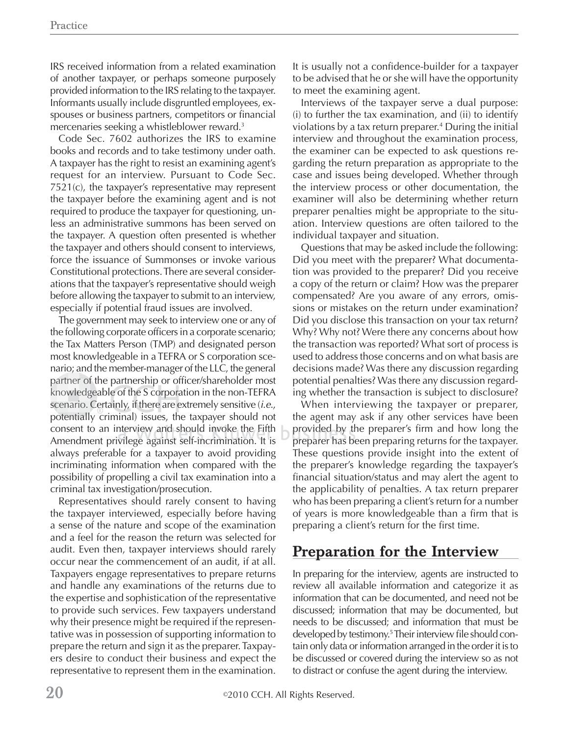IRS received information from a related examination of another taxpayer, or perhaps someone purposely provided information to the IRS relating to the taxpayer. Informants usually include disgruntled employees, exspouses or business partners, competitors or financial mercenaries seeking a whistleblower reward.3

Code Sec. 7602 authorizes the IRS to examine books and records and to take testimony under oath. A taxpayer has the right to resist an examining agent's request for an interview. Pursuant to Code Sec. 7521(c), the taxpayer's representative may represent the taxpayer before the examining agent and is not required to produce the taxpayer for questioning, unless an administrative summons has been served on the taxpayer. A question often presented is whether the taxpayer and others should consent to interviews, force the issuance of Summonses or invoke various Constitutional protections. There are several considerations that the taxpayer's representative should weigh before allowing the taxpayer to submit to an interview, especially if potential fraud issues are involved.

The government may seek to interview one or any of the following corporate officers in a corporate scenario; the Tax Matters Person (TMP) and designated person most knowledgeable in a TEFRA or S corporation scenario; and the member-manager of the LLC, the general ; partner of the partnership or officer/shareholder most knowledgeable of the S corporation in the non-TEFRA  $\,$ scenario. Certainly, if there are extremely sensitive (*i.e.*, potentially criminal) issues, the taxpayer should not consent to an interview and should invoke the Fifth  $-$  pr consent to an interview and should invoke the Fifth<br>Amendment privilege against self-incrimination. It is always preferable for a taxpayer to avoid providing incriminating information when compared with the possibility of propelling a civil tax examination into a criminal tax investigation/prosecution.

Representatives should rarely consent to having the taxpayer interviewed, especially before having a sense of the nature and scope of the examination and a feel for the reason the return was selected for audit. Even then, taxpayer interviews should rarely occur near the commencement of an audit, if at all. Taxpayers engage representatives to prepare returns and handle any examinations of the returns due to the expertise and sophistication of the representative to provide such services. Few taxpayers understand why their presence might be required if the representative was in possession of supporting information to prepare the return and sign it as the preparer. Taxpayers desire to conduct their business and expect the representative to represent them in the examination. It is usually not a confidence-builder for a taxpayer to be advised that he or she will have the opportunity to meet the examining agent.

Interviews of the taxpayer serve a dual purpose: (i) to further the tax examination, and (ii) to identify violations by a tax return preparer.4 During the initial interview and throughout the examination process, the examiner can be expected to ask questions regarding the return preparation as appropriate to the case and issues being developed. Whether through the interview process or other documentation, the examiner will also be determining whether return preparer penalties might be appropriate to the situation. Interview questions are often tailored to the individual taxpayer and situation.

Questions that may be asked include the following: Did you meet with the preparer? What documentation was provided to the preparer? Did you receive a copy of the return or claim? How was the preparer compensated? Are you aware of any errors, omissions or mistakes on the return under examination? Did you disclose this transaction on your tax return? Why? Why not? Were there any concerns about how the transaction was reported? What sort of process is used to address those concerns and on what basis are decisions made? Was there any discussion regarding potential penalties? Was there any discussion regarding whether the transaction is subject to disclosure?

When interviewing the taxpayer or preparer, the agent may ask if any other services have been provided by the preparer's firm and how long the preparer has been preparing returns for the taxpayer. pr ep a re h as be These questions provide insight into the extent of the preparer's knowledge regarding the taxpayer's financial situation/status and may alert the agent to the applicability of penalties. A tax return preparer who has been preparing a client's return for a number of years is more knowledgeable than a firm that is preparing a client's return for the first time.

#### **Preparation for the Interview**

In preparing for the interview, agents are instructed to review all available information and categorize it as information that can be documented, and need not be discussed; information that may be documented, but needs to be discussed; and information that must be developed by testimony.<sup>5</sup> Their interview file should contain only data or information arranged in the order it is to be discussed or covered during the interview so as not to distract or confuse the agent during the interview.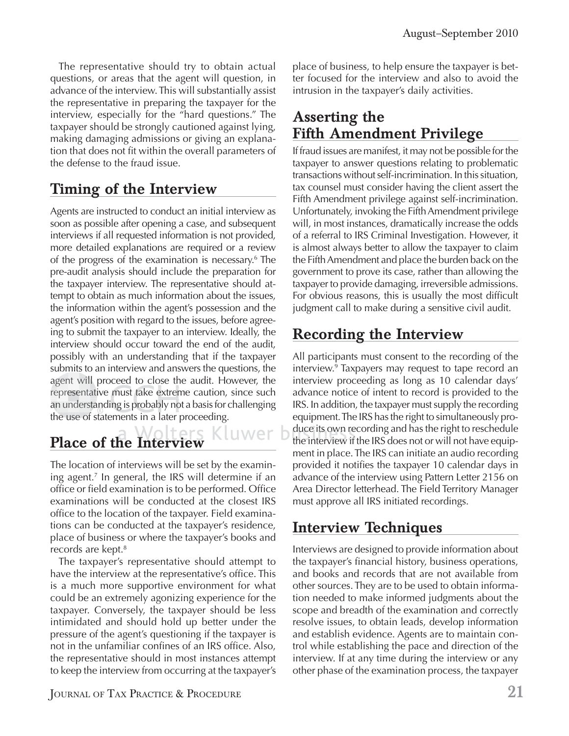The representative should try to obtain actual questions, or areas that the agent will question, in advance of the interview. This will substantially assist the representative in preparing the taxpayer for the interview, especially for the "hard questions." The taxpayer should be strongly cautioned against lying, making damaging admissions or giving an explanation that does not fit within the overall parameters of the defense to the fraud issue.

### **Timing of the Interview**

Agents are instructed to conduct an initial interview as soon as possible after opening a case, and subsequent interviews if all requested information is not provided, more detailed explanations are required or a review of the progress of the examination is necessary.6 The pre-audit analysis should include the preparation for the taxpayer interview. The representative should attempt to obtain as much information about the issues, the information within the agent's possession and the agent's position with regard to the issues, before agreeing to submit the taxpayer to an interview. Ideally, the interview should occur toward the end of the audit, possibly with an understanding that if the taxpayer submits to an interview and answers the questions, the agent will proceed to close the audit. However, the representative must take extreme caution, since such an understanding is probably not a basis for challenging the use of statements in a later proceeding.

## **Place of the Interview h I t i**

The location of interviews will be set by the examining agent.7 In general, the IRS will determine if an office or field examination is to be performed. Office examinations will be conducted at the closest IRS office to the location of the taxpayer. Field examinations can be conducted at the taxpayer's residence, place of business or where the taxpayer's books and records are kept.<sup>8</sup>

The taxpayer's representative should attempt to have the interview at the representative's office. This is a much more supportive environment for what could be an extremely agonizing experience for the taxpayer. Conversely, the taxpayer should be less intimidated and should hold up better under the pressure of the agent's questioning if the taxpayer is not in the unfamiliar confines of an IRS office. Also, the representative should in most instances attempt to keep the interview from occurring at the taxpayer's

JOURNAL OF TAX PRACTICE & PROCEDURE **21**

place of business, to help ensure the taxpayer is better focused for the interview and also to avoid the intrusion in the taxpayer's daily activities.

#### **Asserting the Fifth Amendment Privilege**

If fraud issues are manifest, it may not be possible for the taxpayer to answer questions relating to problematic transactions without self-incrimination. In this situation, tax counsel must consider having the client assert the Fifth Amendment privilege against self-incrimination. Unfortunately, invoking the Fifth Amendment privilege will, in most instances, dramatically increase the odds of a referral to IRS Criminal Investigation. However, it is almost always better to allow the taxpayer to claim the Fifth Amendment and place the burden back on the government to prove its case, rather than allowing the taxpayer to provide damaging, irreversible admissions. For obvious reasons, this is usually the most difficult judgment call to make during a sensitive civil audit.

#### **Recording the Interview**

All participants must consent to the recording of the interview.9 Taxpayers may request to tape record an interview proceeding as long as 10 calendar days' advance notice of intent to record is provided to the IRS. In addition, the taxpayer must supply the recording equipment. The IRS has the right to simultaneously produce its own recording and has the right to reschedule duce its own recording and has the right to reschedule<br>the interview if the IRS does not or will not have equipment in place. The IRS can initiate an audio recording provided it notifies the taxpayer 10 calendar days in advance of the interview using Pattern Letter 2156 on Area Director letterhead. The Field Territory Manager must approve all IRS initiated recordings.

#### **Interview Techniques**

Interviews are designed to provide information about the taxpayer's financial history, business operations, and books and records that are not available from other sources. They are to be used to obtain information needed to make informed judgments about the scope and breadth of the examination and correctly resolve issues, to obtain leads, develop information and establish evidence. Agents are to maintain control while establishing the pace and direction of the interview. If at any time during the interview or any other phase of the examination process, the taxpayer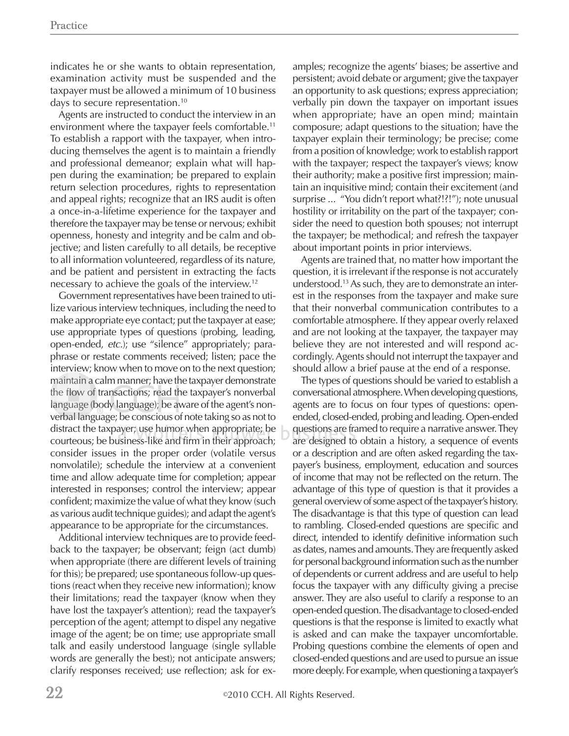indicates he or she wants to obtain representation, examination activity must be suspended and the taxpayer must be allowed a minimum of 10 business days to secure representation.10

Agents are instructed to conduct the interview in an environment where the taxpayer feels comfortable.11 To establish a rapport with the taxpayer, when introducing themselves the agent is to maintain a friendly and professional demeanor; explain what will happen during the examination; be prepared to explain return selection procedures, rights to representation and appeal rights; recognize that an IRS audit is often a once-in-a-lifetime experience for the taxpayer and therefore the taxpayer may be tense or nervous; exhibit openness, honesty and integrity and be calm and objective; and listen carefully to all details, be receptive to all information volunteered, regardless of its nature, and be patient and persistent in extracting the facts necessary to achieve the goals of the interview.12

Government representatives have been trained to utilize various interview techniques, including the need to make appropriate eye contact; put the taxpayer at ease; use appropriate types of questions (probing, leading, open-ended, *etc.*); use "silence" appropriately; paraphrase or restate comments received; listen; pace the interview; know when to move on to the next question; maintain a calm manner; have the taxpayer demonstrate the flow of transactions; read the taxpayer's nonverbal language (body language); be aware of the agent's nonverbal language; be conscious of note taking so as not to b erbal lan distract the taxpayer; use humor when appropriate; be courteous; be business-like and firm in their approach; consider issues in the proper order (volatile versus nonvolatile); schedule the interview at a convenient time and allow adequate time for completion; appear interested in responses; control the interview; appear confident; maximize the value of what they know (such as various audit technique guides); and adapt the agent's appearance to be appropriate for the circumstances.

Additional interview techniques are to provide feedback to the taxpayer; be observant; feign (act dumb) when appropriate (there are different levels of training for this); be prepared; use spontaneous follow-up questions (react when they receive new information); know their limitations; read the taxpayer (know when they have lost the taxpayer's attention); read the taxpayer's perception of the agent; attempt to dispel any negative image of the agent; be on time; use appropriate small talk and easily understood language (single syllable words are generally the best); not anticipate answers; clarify responses received; use reflection; ask for examples; recognize the agents' biases; be assertive and persistent; avoid debate or argument; give the taxpayer an opportunity to ask questions; express appreciation; verbally pin down the taxpayer on important issues when appropriate; have an open mind; maintain composure; adapt questions to the situation; have the taxpayer explain their terminology; be precise; come from a position of knowledge; work to establish rapport with the taxpayer; respect the taxpayer's views; know their authority; make a positive first impression; maintain an inquisitive mind; contain their excitement (and surprise ... "You didn't report what?!?!"); note unusual hostility or irritability on the part of the taxpayer; consider the need to question both spouses; not interrupt the taxpayer; be methodical; and refresh the taxpayer about important points in prior interviews.

Agents are trained that, no matter how important the question, it is irrelevant if the response is not accurately understood.13 As such, they are to demonstrate an interest in the responses from the taxpayer and make sure that their nonverbal communication contributes to a comfortable atmosphere. If they appear overly relaxed and are not looking at the taxpayer, the taxpayer may believe they are not interested and will respond accordingly. Agents should not interrupt the taxpayer and should allow a brief pause at the end of a response.

The types of questions should be varied to establish a conversational atmosphere. When developing questions, agents are to focus on four types of questions: openended, closed-ended, probing and leading. Open-ended questions are framed to require a narrative answer. They qu es t on s a re fra are designed to obtain a history, a sequence of events or a description and are often asked regarding the taxpayer's business, employment, education and sources of income that may not be reflected on the return. The advantage of this type of question is that it provides a general overview of some aspect of the taxpayer's history. The disadvantage is that this type of question can lead to rambling. Closed-ended questions are specific and direct, intended to identify definitive information such as dates, names and amounts. They are frequently asked for personal background information such as the number of dependents or current address and are useful to help focus the taxpayer with any difficulty giving a precise answer. They are also useful to clarify a response to an open-ended question. The disadvantage to closed-ended questions is that the response is limited to exactly what is asked and can make the taxpayer uncomfortable. Probing questions combine the elements of open and closed-ended questions and are used to pursue an issue more deeply. For example, when questioning a taxpayer's